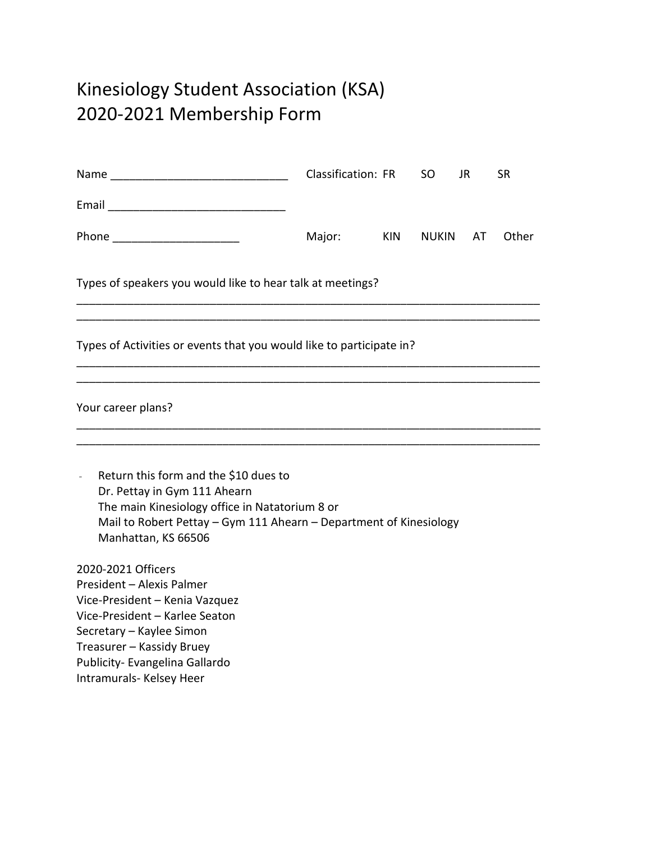## Kinesiology Student Association (KSA) 2020-2021 Membership Form

|                                                                                                                                                                                                                                            | Classification: FR |            | SO           | JR. | <b>SR</b> |  |
|--------------------------------------------------------------------------------------------------------------------------------------------------------------------------------------------------------------------------------------------|--------------------|------------|--------------|-----|-----------|--|
|                                                                                                                                                                                                                                            |                    |            |              |     |           |  |
| Phone _________________________                                                                                                                                                                                                            | Major:             | <b>KIN</b> | <b>NUKIN</b> | AT  | Other     |  |
| Types of speakers you would like to hear talk at meetings?                                                                                                                                                                                 |                    |            |              |     |           |  |
| Types of Activities or events that you would like to participate in?                                                                                                                                                                       |                    |            |              |     |           |  |
| Your career plans?                                                                                                                                                                                                                         |                    |            |              |     |           |  |
| Return this form and the \$10 dues to<br>$\overline{a}$<br>Dr. Pettay in Gym 111 Ahearn<br>The main Kinesiology office in Natatorium 8 or<br>Mail to Robert Pettay - Gym 111 Ahearn - Department of Kinesiology<br>Manhattan, KS 66506     |                    |            |              |     |           |  |
| 2020-2021 Officers<br>President - Alexis Palmer<br>Vice-President - Kenia Vazquez<br>Vice-President - Karlee Seaton<br>Secretary - Kaylee Simon<br>Treasurer - Kassidy Bruey<br>Publicity- Evangelina Gallardo<br>Intramurals- Kelsey Heer |                    |            |              |     |           |  |